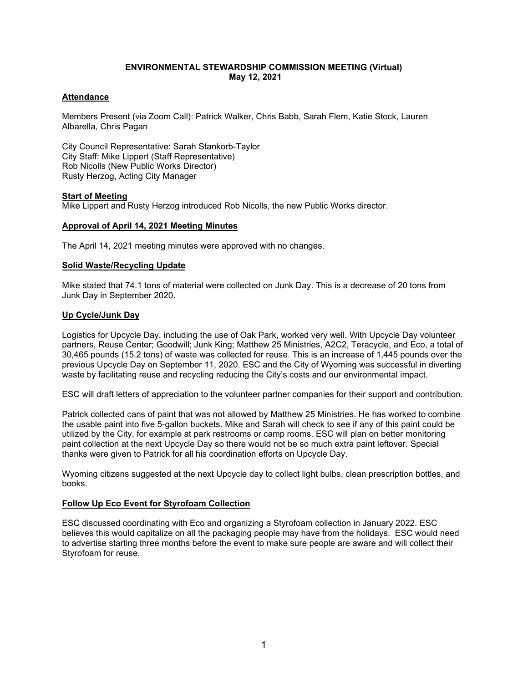# **ENVIRONMENTAL STEWARDSHIP COMMISSION MEETING (Virtual) May 12, 2021**

## **Attendance**

Members Present (via Zoom Call): Patrick Walker, Chris Babb, Sarah Flem, Katie Stock, Lauren Albarella, Chris Pagan

City Council Representative: Sarah Stankorb-Taylor City Staff: Mike Lippert (Staff Representative) Rob Nicolls (New Public Works Director) Rusty Herzog, Acting City Manager

## **Start of Meeting**

Mike Lippert and Rusty Herzog introduced Rob Nicolls, the new Public Works director.

#### **Approval of April 14, 2021 Meeting Minutes**

The April 14, 2021 meeting minutes were approved with no changes.

## **Solid Waste/Recycling Update**

Mike stated that 74.1 tons of material were collected on Junk Day. This is a decrease of 20 tons from Junk Day in September 2020.

## **Up Cycle/Junk Day**

Logistics for Upcycle Day, including the use of Oak Park, worked very well. With Upcycle Day volunteer partners, Reuse Center; Goodwill; Junk King; Matthew 25 Ministries, A2C2, Teracycle, and Eco, a total of 30,465 pounds (15.2 tons) of waste was collected for reuse. This is an increase of 1,445 pounds over the previous Upcycle Day on September 11, 2020. ESC and the City of Wyoming was successful in diverting waste by facilitating reuse and recycling reducing the City's costs and our environmental impact.

ESC will draft letters of appreciation to the volunteer partner companies for their support and contribution.

Patrick collected cans of paint that was not allowed by Matthew 25 Ministries. He has worked to combine the usable paint into five 5-gallon buckets. Mike and Sarah will check to see if any of this paint could be utilized by the City, for example at park restrooms or camp rooms. ESC will plan on better monitoring paint collection at the next Upcycle Day so there would not be so much extra paint leftover. Special thanks were given to Patrick for all his coordination efforts on Upcycle Day.

Wyoming citizens suggested at the next Upcycle day to collect light bulbs, clean prescription bottles, and books.

## **Follow Up Eco Event for Styrofoam Collection**

ESC discussed coordinating with Eco and organizing a Styrofoam collection in January 2022. ESC believes this would capitalize on all the packaging people may have from the holidays. ESC would need to advertise starting three months before the event to make sure people are aware and will collect their Styrofoam for reuse.